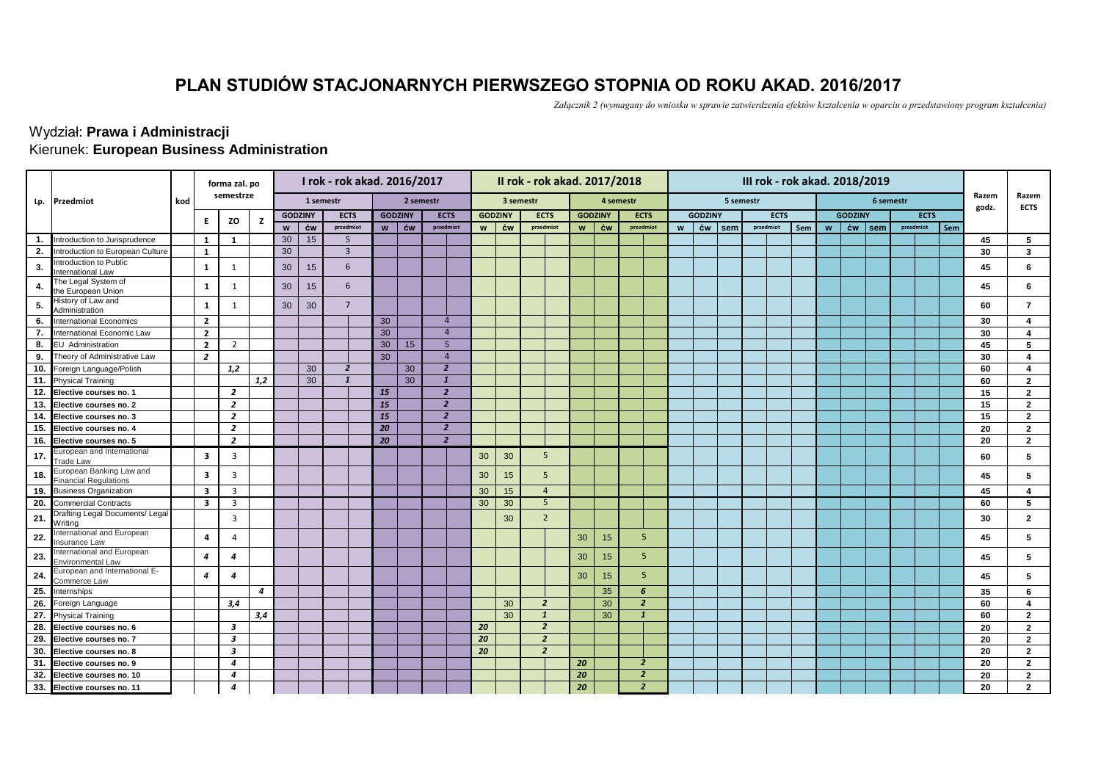## **PLAN STUDIÓW STACJONARNYCH PIERWSZEGO STOPNIA OD ROKU AKAD. 2016/2017**

*Załącznik 2 (wymagany do wniosku w sprawie zatwierdzenia efektów kształcenia w oparciu o przedstawiony program kształcenia)*

## Kierunek: **European Business Administration** Wydział: **Prawa i Administracji**

|                   |                                                          |     | forma zal. po           |                |     |    |                  | I rok - rok akad. 2016/2017 |                |                |                |                |                |           | II rok - rok akad. 2017/2018 |                |           |                | III rok - rok akad. 2018/2019 |                |           |             |           |     |   |                |           |           |             |     |                |                         |
|-------------------|----------------------------------------------------------|-----|-------------------------|----------------|-----|----|------------------|-----------------------------|----------------|----------------|----------------|----------------|----------------|-----------|------------------------------|----------------|-----------|----------------|-------------------------------|----------------|-----------|-------------|-----------|-----|---|----------------|-----------|-----------|-------------|-----|----------------|-------------------------|
| Lp.               | Przedmiot                                                | kod | semestrze               |                |     |    |                  | 1 semestr                   |                | 2 semestr      |                |                |                | 3 semestr |                              |                | 4 semestr |                |                               |                | 5 semestr |             |           |     |   |                | 6 semestr |           |             |     | Razem<br>godz. | Razem<br><b>ECTS</b>    |
|                   |                                                          |     | Е.                      | ZO             | z   |    | <b>GODZINY</b>   | <b>ECTS</b>                 |                | <b>GODZINY</b> | <b>ECTS</b>    |                | <b>GODZINY</b> |           | <b>ECTS</b>                  | <b>GODZINY</b> |           | <b>ECTS</b>    |                               | <b>GODZINY</b> |           | <b>ECTS</b> |           |     |   | <b>GODZINY</b> |           |           | <b>ECTS</b> |     |                |                         |
|                   |                                                          |     |                         |                |     |    | $w$ $\acute{c}w$ | przedmiot                   | w <sub>1</sub> | ćw             |                | przedmiot      | W              | ćw        | przedmiot                    | $\mathbf{w}$   | ćw        | przedmiot      | W                             | ćw             | sem       |             | przedmiot | Sem | W | ćw             | sem       | przedmiot |             | Sem |                |                         |
| $\mathbf{1}$      | Introduction to Jurisprudence                            |     | 1                       | 1              |     | 30 | 15               | -5                          |                |                |                |                |                |           |                              |                |           |                |                               |                |           |             |           |     |   |                |           |           |             |     | 45             | 5                       |
| 2.                | Introduction to European Culture                         |     | $\mathbf{1}$            |                |     | 30 |                  | $\overline{3}$              |                |                |                |                |                |           |                              |                |           |                |                               |                |           |             |           |     |   |                |           |           |             |     | 30             | 3                       |
| 3.                | Introduction to Public<br>International Law              |     | $\mathbf{1}$            | 1              |     | 30 | 15               | 6                           |                |                |                |                |                |           |                              |                |           |                |                               |                |           |             |           |     |   |                |           |           |             |     | 45             | 6                       |
| 4.                | The Legal System of<br>the European Union                |     | 1                       | 1              |     | 30 | 15               | 6                           |                |                |                |                |                |           |                              |                |           |                |                               |                |           |             |           |     |   |                |           |           |             |     | 45             | 6                       |
| 5.                | History of Law and<br>Administration                     |     | 1                       | 1              |     | 30 | 30               | $\overline{7}$              |                |                |                |                |                |           |                              |                |           |                |                               |                |           |             |           |     |   |                |           |           |             |     | 60             | $\overline{7}$          |
| 6.                | <b>International Economics</b>                           |     | $\overline{2}$          |                |     |    |                  |                             | 30             |                | $\overline{4}$ |                |                |           |                              |                |           |                |                               |                |           |             |           |     |   |                |           |           |             |     | 30             | $\overline{\mathbf{4}}$ |
| 7.                | International Economic Law                               |     | $\overline{2}$          |                |     |    |                  |                             | 30             |                |                | $\overline{4}$ |                |           |                              |                |           |                |                               |                |           |             |           |     |   |                |           |           |             |     | 30             | $\overline{\mathbf{4}}$ |
| 8.                | <b>EU</b> Administration                                 |     | $\overline{2}$          | $\overline{2}$ |     |    |                  |                             | 30             | 15             |                | 5              |                |           |                              |                |           |                |                               |                |           |             |           |     |   |                |           |           |             |     | 45             | 5                       |
| 9.                | Theory of Administrative Law                             |     | $\overline{2}$          |                |     |    |                  |                             | 30             |                |                | $\overline{4}$ |                |           |                              |                |           |                |                               |                |           |             |           |     |   |                |           |           |             |     | 30             | $\overline{\mathbf{4}}$ |
| 10.               | Foreign Language/Polish                                  |     |                         | 1,2            |     |    | 30               | $\overline{2}$              |                | 30             |                | $\overline{2}$ |                |           |                              |                |           |                |                               |                |           |             |           |     |   |                |           |           |             |     | 60             | 4                       |
| 11.               | <b>Physical Training</b>                                 |     |                         |                | 1,2 |    | 30               | $\mathbf{1}$                |                | 30             | 1              |                |                |           |                              |                |           |                |                               |                |           |             |           |     |   |                |           |           |             |     | 60             | $\overline{2}$          |
| 12.               | Elective courses no. 1                                   |     |                         | $\overline{2}$ |     |    |                  |                             | <b>15</b>      |                |                | $\overline{2}$ |                |           |                              |                |           |                |                               |                |           |             |           |     |   |                |           |           |             |     | 15             | $\overline{2}$          |
| 13.               | Elective courses no. 2                                   |     |                         | $\overline{2}$ |     |    |                  |                             | <b>15</b>      |                |                | $\overline{2}$ |                |           |                              |                |           |                |                               |                |           |             |           |     |   |                |           |           |             |     | 15             | $\overline{2}$          |
| 14.               | Elective courses no. 3                                   |     |                         | $\overline{2}$ |     |    |                  |                             | <b>15</b>      |                |                | $\overline{2}$ |                |           |                              |                |           |                |                               |                |           |             |           |     |   |                |           |           |             |     | 15             | $\overline{2}$          |
| 15.               | Elective courses no. 4                                   |     |                         | $\overline{2}$ |     |    |                  |                             | 20             |                |                | $\overline{2}$ |                |           |                              |                |           |                |                               |                |           |             |           |     |   |                |           |           |             |     | 20             | $\overline{2}$          |
| 16.               | Elective courses no. 5                                   |     |                         | $\overline{2}$ |     |    |                  |                             | 20             |                |                | $\overline{2}$ |                |           |                              |                |           |                |                               |                |           |             |           |     |   |                |           |           |             |     | 20             | $\overline{2}$          |
| 17.               | European and International<br><b>Trade Law</b>           |     | 3                       | 3              |     |    |                  |                             |                |                |                |                | 30             | 30        | 5                            |                |           |                |                               |                |           |             |           |     |   |                |           |           |             |     | 60             | 5                       |
| 18.               | European Banking Law and<br><b>Financial Regulations</b> |     | $\overline{\mathbf{3}}$ | 3              |     |    |                  |                             |                |                |                |                | 30             | 15        | 5                            |                |           |                |                               |                |           |             |           |     |   |                |           |           |             |     | 45             | 5                       |
|                   | 19. Business Organization                                |     | 3                       | 3              |     |    |                  |                             |                |                |                |                | 30             | 15        | $\overline{4}$               |                |           |                |                               |                |           |             |           |     |   |                |           |           |             |     | 45             | $\overline{\mathbf{4}}$ |
| 20.               | <b>Commercial Contracts</b>                              |     | $\overline{\mathbf{3}}$ | $\overline{3}$ |     |    |                  |                             |                |                |                |                | 30             | 30        | 5                            |                |           |                |                               |                |           |             |           |     |   |                |           |           |             |     | 60             | 5                       |
| 21.               | Drafting Legal Documents/ Legal<br>Writing               |     |                         | 3              |     |    |                  |                             |                |                |                |                |                | 30        | $\overline{2}$               |                |           |                |                               |                |           |             |           |     |   |                |           |           |             |     | 30             | $\mathbf{2}$            |
| 22.               | International and European<br>Insurance Law              |     | 4                       | 4              |     |    |                  |                             |                |                |                |                |                |           |                              | 30             | 15        | 5              |                               |                |           |             |           |     |   |                |           |           |             |     | 45             | $5\overline{5}$         |
| 23                | International and European<br><b>Environmental Law</b>   |     | 4                       | 4              |     |    |                  |                             |                |                |                |                |                |           |                              | 30             | 15        | 5 <sup>5</sup> |                               |                |           |             |           |     |   |                |           |           |             |     | 45             | 5                       |
| 24                | European and International E-<br>Commerce Law            |     | 4                       | 4              |     |    |                  |                             |                |                |                |                |                |           |                              | 30             | 15        | 5              |                               |                |           |             |           |     |   |                |           |           |             |     | 45             | 5                       |
| 25.               | Internships                                              |     |                         |                | 4   |    |                  |                             |                |                |                |                |                |           |                              |                | 35        | 6              |                               |                |           |             |           |     |   |                |           |           |             |     | 35             | 6                       |
| $\overline{26}$ . | Foreign Language                                         |     |                         | 3,4            |     |    |                  |                             |                |                |                |                |                | 30        | $\overline{2}$               |                | 30        | $\overline{2}$ |                               |                |           |             |           |     |   |                |           |           |             |     | 60             | $\overline{\mathbf{4}}$ |
| 27.               | <b>Physical Training</b>                                 |     |                         |                | 3,4 |    |                  |                             |                |                |                |                |                | 30        | $\mathbf{1}$                 |                | 30        | 1              |                               |                |           |             |           |     |   |                |           |           |             |     | 60             | $\overline{2}$          |
| 28.               | Elective courses no. 6                                   |     |                         | 3              |     |    |                  |                             |                |                |                |                | 20             |           | $\overline{2}$               |                |           |                |                               |                |           |             |           |     |   |                |           |           |             |     | 20             | $\overline{2}$          |
| 29.               | Elective courses no. 7                                   |     |                         | 3              |     |    |                  |                             |                |                |                |                | 20             |           | $\overline{\mathbf{z}}$      |                |           |                |                               |                |           |             |           |     |   |                |           |           |             |     | 20             | $\overline{2}$          |
| 30.               | Elective courses no. 8                                   |     |                         | 3              |     |    |                  |                             |                |                |                |                | 20             |           | $\overline{\mathbf{z}}$      |                |           |                |                               |                |           |             |           |     |   |                |           |           |             |     | 20             | $\overline{2}$          |
| 31.               | Elective courses no. 9                                   |     |                         | 4              |     |    |                  |                             |                |                |                |                |                |           |                              | 20             |           | $\overline{2}$ |                               |                |           |             |           |     |   |                |           |           |             |     | 20             | $\overline{2}$          |
| 32.               | Elective courses no. 10                                  |     |                         | 4              |     |    |                  |                             |                |                |                |                |                |           |                              | 20             |           | $\overline{2}$ |                               |                |           |             |           |     |   |                |           |           |             |     | 20             | $\overline{2}$          |
| 33.               | Elective courses no. 11                                  |     |                         | 4              |     |    |                  |                             |                |                |                |                |                |           |                              | 20             |           | $\overline{2}$ |                               |                |           |             |           |     |   |                |           |           |             |     | 20             | $\overline{2}$          |